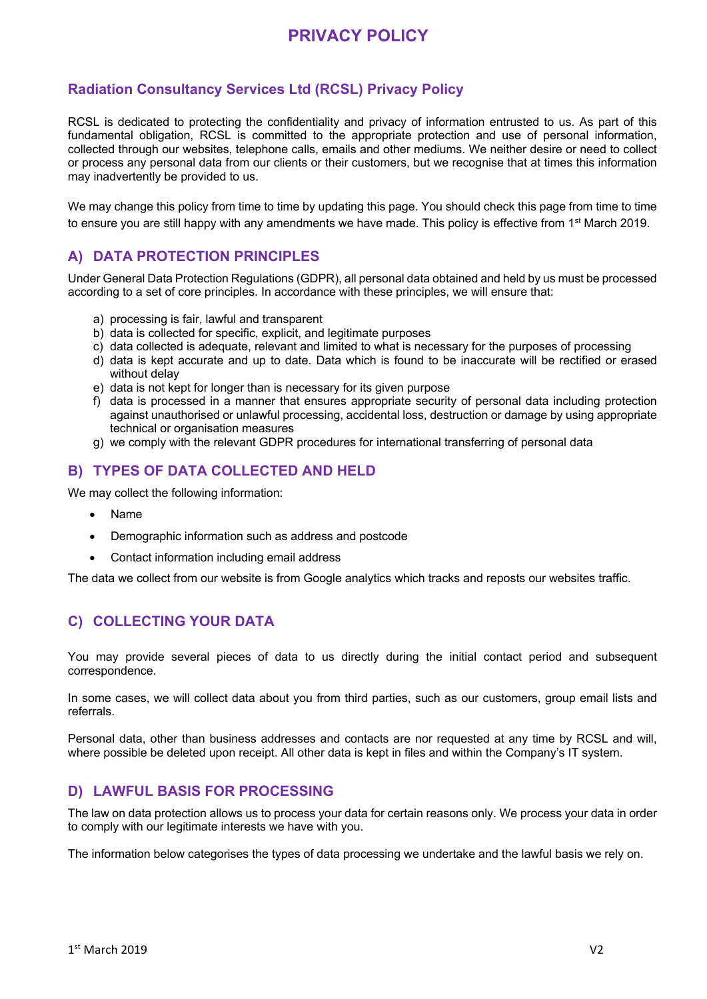# **Radiation Consultancy Services Ltd (RCSL) Privacy Policy**

RCSL is dedicated to protecting the confidentiality and privacy of information entrusted to us. As part of this fundamental obligation, RCSL is committed to the appropriate protection and use of personal information, collected through our websites, telephone calls, emails and other mediums. We neither desire or need to collect or process any personal data from our clients or their customers, but we recognise that at times this information may inadvertently be provided to us.

We may change this policy from time to time by updating this page. You should check this page from time to time to ensure you are still happy with any amendments we have made. This policy is effective from 1st March 2019.

## **A) DATA PROTECTION PRINCIPLES**

Under General Data Protection Regulations (GDPR), all personal data obtained and held by us must be processed according to a set of core principles. In accordance with these principles, we will ensure that:

- a) processing is fair, lawful and transparent
- b) data is collected for specific, explicit, and legitimate purposes
- c) data collected is adequate, relevant and limited to what is necessary for the purposes of processing
- d) data is kept accurate and up to date. Data which is found to be inaccurate will be rectified or erased without delay
- e) data is not kept for longer than is necessary for its given purpose
- f) data is processed in a manner that ensures appropriate security of personal data including protection against unauthorised or unlawful processing, accidental loss, destruction or damage by using appropriate technical or organisation measures
- g) we comply with the relevant GDPR procedures for international transferring of personal data

# **B) TYPES OF DATA COLLECTED AND HELD**

We may collect the following information:

- Name
- Demographic information such as address and postcode
- Contact information including email address

The data we collect from our website is from Google analytics which tracks and reposts our websites traffic.

# **C) COLLECTING YOUR DATA**

You may provide several pieces of data to us directly during the initial contact period and subsequent correspondence.

In some cases, we will collect data about you from third parties, such as our customers, group email lists and referrals.

Personal data, other than business addresses and contacts are nor requested at any time by RCSL and will, where possible be deleted upon receipt. All other data is kept in files and within the Company's IT system.

#### **D) LAWFUL BASIS FOR PROCESSING**

The law on data protection allows us to process your data for certain reasons only. We process your data in order to comply with our legitimate interests we have with you.

The information below categorises the types of data processing we undertake and the lawful basis we rely on.